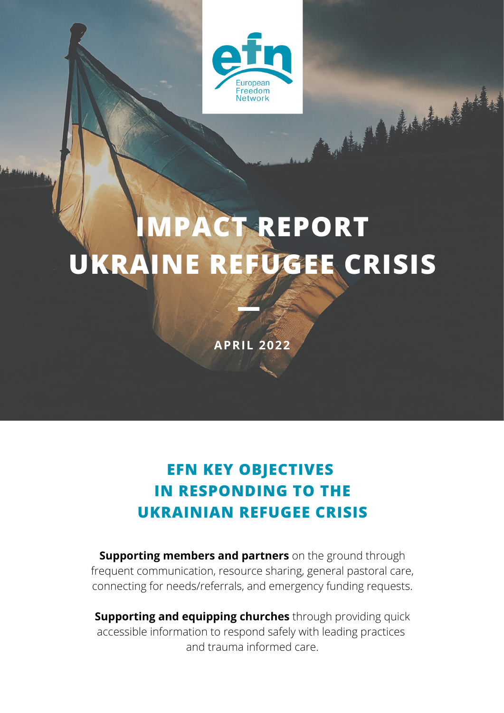

March 1996

## **IMPACT REPORT UKRAINE REFUGEE CRISIS**

**APRIL 2022**

## **EFN KEY OBJECTIVES IN RESPONDING TO THE UKRAINIAN REFUGEE CRISIS**

**Supporting members and partners** on the ground through frequent communication, resource sharing, general pastoral care, connecting for needs/referrals, and emergency funding requests.

**Supporting and equipping churches** through providing quick accessible information to respond safely with leading practices and trauma informed care.